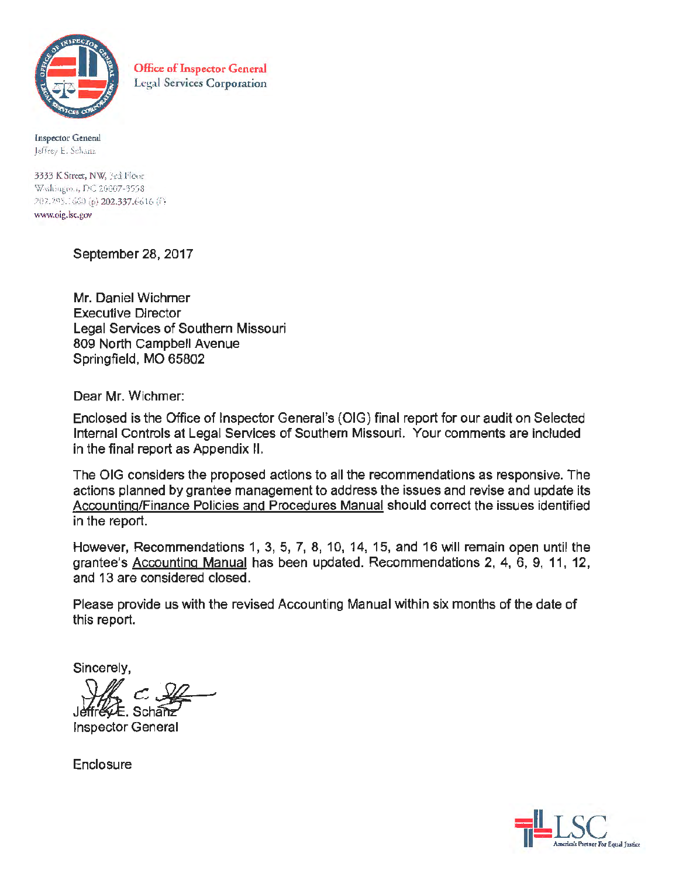

Office of Inspector General Legal Services Corporation

**Inspector General** Jeffrey E. Schanz

3333 K Street, NW, 34d Floor<br>Washington, DC 20007-3558 202.295.1650 (p) 202.337.6616 (f) www.oig.lsc.gov

September 28, 2017

Mr. Daniel Wichmer Executive Director Legal Services of Southern Missouri 809 North Campbell Avenue Springfield, MO 65802

Dear Mr. Wichmer:

Enclosed is the Office of Inspector General's (OIG) final report for our audit on Selected Internal Controls at Legal Services of Southern Missouri. Your comments are included in the final report as Appendix II.

The OIG considers the proposed actions to all the recommendations as responsive. The actions planned by grantee management to address the issues and revise and update its Accounting/Finance Policies and Procedures Manual should correct the issues identified in the report.

However, Recommendations 1, 3, 5, 7, 8, 10, 14, 15, and 16 will remain open until the grantee's Accounting Manual has been updated. Recommendations 2, 4, 6, 9, 11, 12, and 13 are considered closed.

Please provide us with the revised Accounting Manual within six months of the date of this report.

Sincerely,

J~.fch~

Inspector General

**Enclosure** 

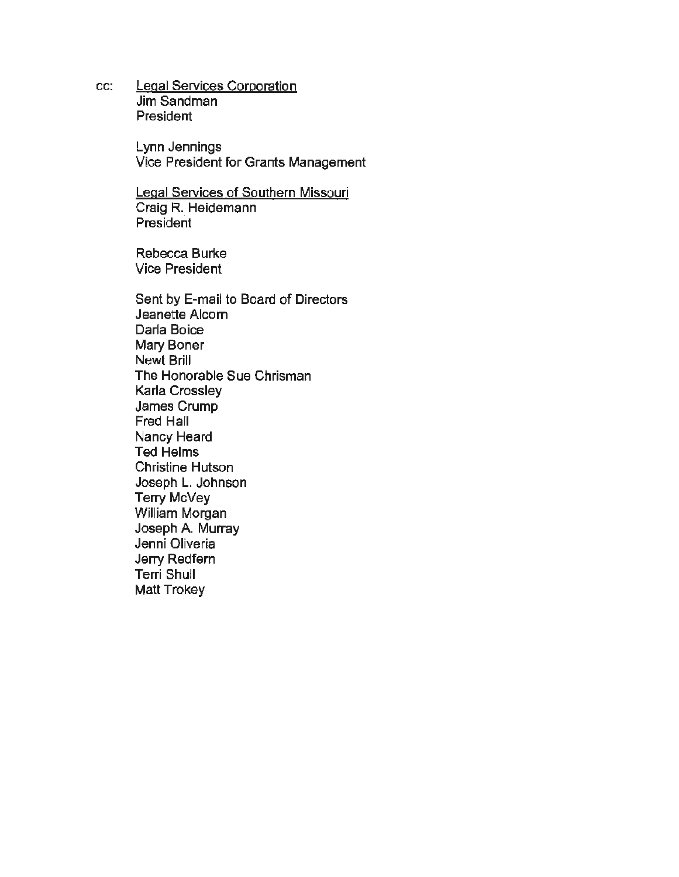cc: Legal Services Corporation Jim Sandman President

> Lynn Jennings Vice President for Grants Management

Legal Services of Southern Missouri Craig R. Heidemann President

Rebecca Burke Vice President

Sent by E-mail to Board of Directors Jeanette Alcorn Darla Boice Mary Boner Newt Brill The Honorable Sue Chrisman Karla Crossley James Crump Fred Hall Nancy Heard Ted Helms Christine Hutson Joseph L. Johnson Terry McVey William Morgan Joseph A. Murray Jenni Oliveria Jerry Redfern Terri Shull Matt Trokey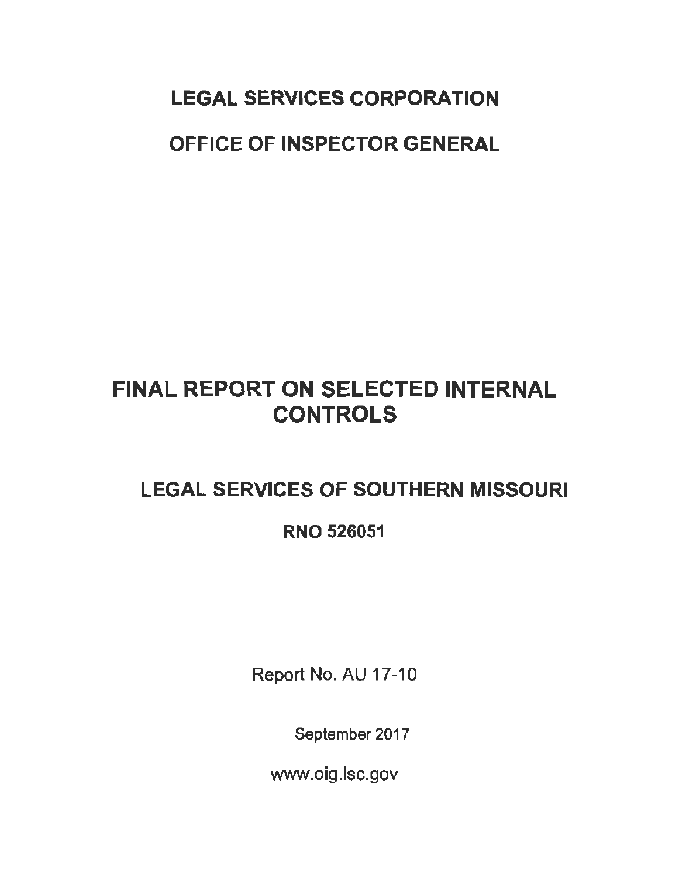# LEGAL SERVICES CORPORATION OFFICE OF INSPECTOR GENERAL

# FINAL REPORT ON SELECTED INTERNAL **CONTROLS**

## LEGAL SERVICES OF SOUTHERN MISSOURI

## RNO 526051

Report No. AU 17-10

September 2017

www.oig.lsc.gov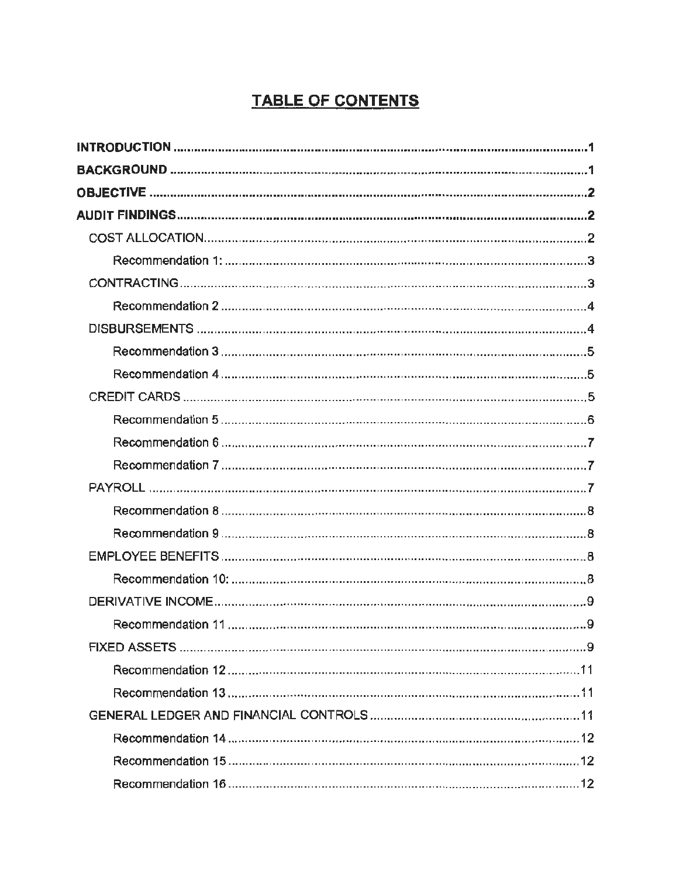## **TABLE OF CONTENTS**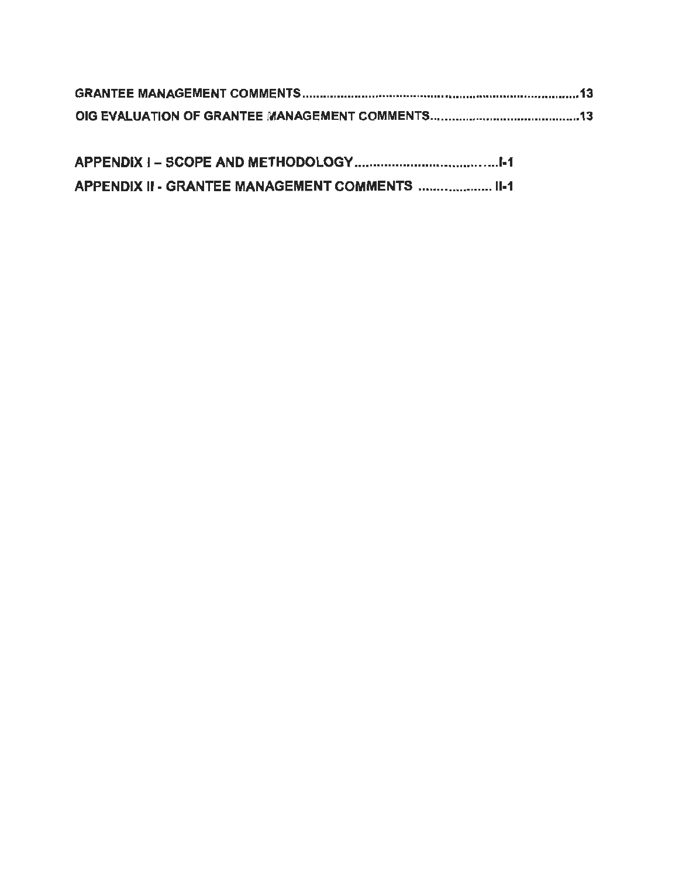| APPENDIX II - GRANTEE MANAGEMENT COMMENTS  II-1 |
|-------------------------------------------------|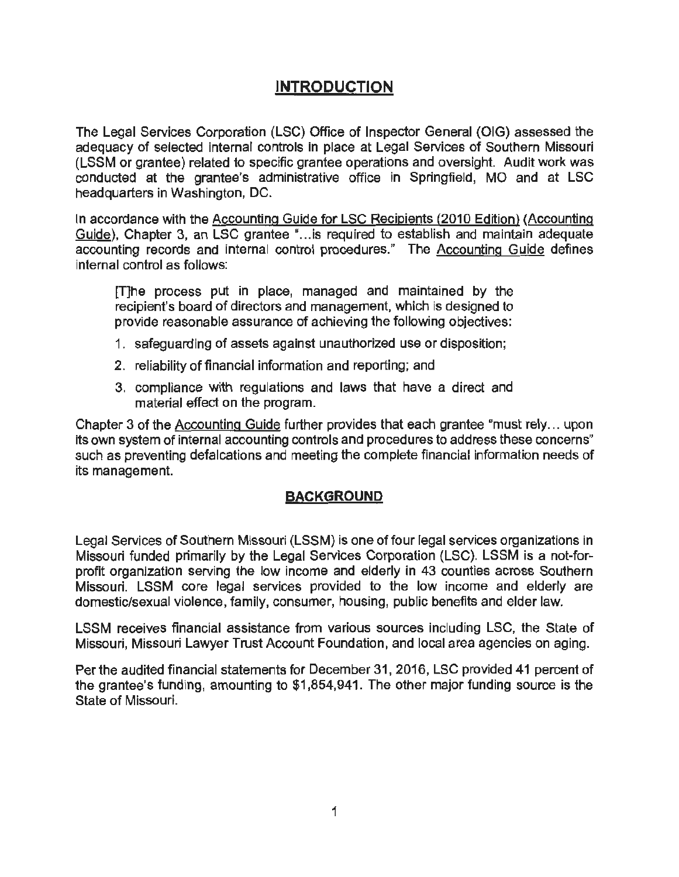## **INTRODUCTION**

The Legal Services Corporation (LSC) Office of Inspector General (OIG) assessed the adequacy of selected internal controls in place at Legal Services of Southern Missouri (LSSM or grantee) related to specific grantee operations and oversight. Audit work was conducted at the grantee's administrative office in Springfield, MO and at LSC headquarters in Washington, DC.

In accordance with the Accounting Guide for LSC Recipients (2010 Edition) (Accounting Guide), Chapter 3, an LSC grantee "... is required to establish and maintain adequate accounting records and internal control procedures." The Accounting Guide defines internal control as follows:

[TJhe process put in place, managed and maintained by the recipient's board of directors and management, which is designed to provide reasonable assurance of achieving the following objectives:

- 1. safeguarding of assets against unauthorized use or disposition;
- 2. reliability of financial information and reporting; and
- 3. compliance with regulations and laws that have a direct and material effect on the program.

Chapter 3 of the Accounting Guide further provides that each grantee "must rely... upon its own system of internal accounting controls and procedures to address these concerns" such as preventing defalcations and meeting the complete financial information needs of its management.

#### **BACKGROUND**

Legal Services of Southern Missouri (LSSM) is one of four legal services organizations in Missouri funded primarily by the Legal Services Corporation (LSC). LSSM is a not-forprofit organization serving the low income and elderly in 43 counties across Southern Missouri. LSSM core legal services provided to the low income and elderly are domestic/sexual violence, family, consumer, housing, public benefits and elder law.

LSSM receives financial assistance from various sources including LSC, the State of Missouri, Missouri Lawyer Trust Account Foundation, and local area agencies on aging.

Per the audited financial statements for December 31, 2016, LSC provided 41 percent of the grantee's funding, amounting to \$1,854,941. The other major funding source is the State of Missouri.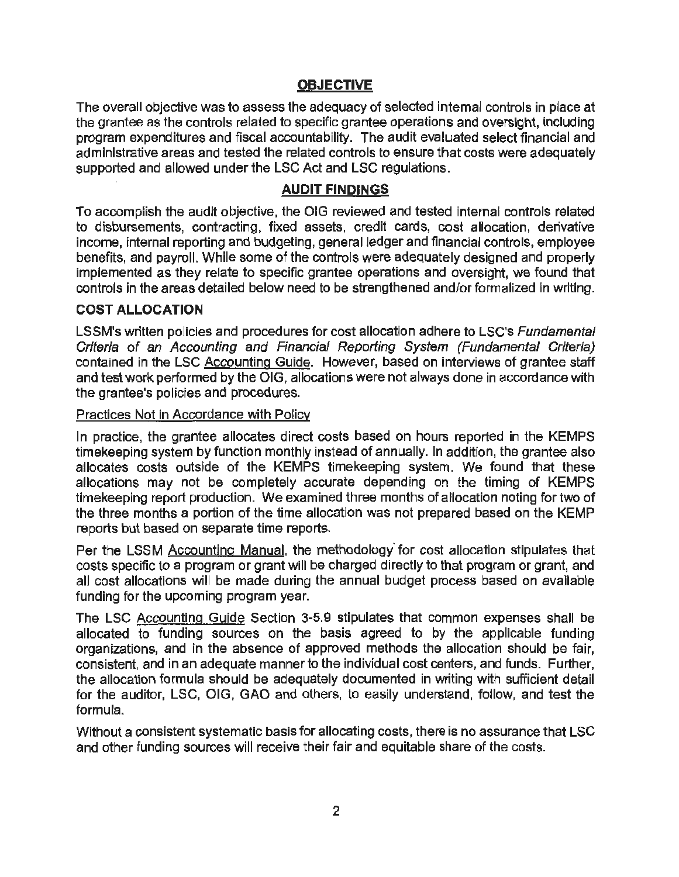#### **OBJECTIVE**

The overall objective was to assess the adequacy of selected internal controls in place at the grantee as the controls related to specific grantee operations and oversight, including program expenditures and fiscal accountabillty. The audit evaluated select financial and administrative areas and tested the related controls to ensure that costs were adequately supported and allowed under the LSC Act and LSC regulations.

#### **AUDIT FINDINGS**

To accomplish the audit objective, the OIG reviewed and tested Internal controls related to disbursements, contracting, fixed assets, credit cards, cost allocation, derivative income, internal reporting and budgeting, general ledger and financial controls, employee benefits, and payroll. While some of the controls were adequately designed and properly implemented as they relate to specific grantee operations and oversight, we found that controls in the areas detailed below need to be strengthened and/or formalized in writing.

#### **COST ALLOCATION**

LSSM's written policies and procedures for cost allocation adhere to LSC's Fundamental Criteria of an Accounting and Financial Reporting System (Fundamental Criteria) contained in the LSC Accounting Guide. However, based on interviews of grantee staff and test work performed by the OIG, allocations were not always done in accordance with the grantee's policies and procedures.

#### Practices Not in Accordance with Policy

In practice, the grantee allocates direct costs based on hours reported in the KEMPS timekeeping system by function monthly instead of annually. In addition, the grantee also allocates costs outside of the KEMPS timekeeping system. We found that these allocations may not be completely accurate depending on the timing of KEMPS timekeeping report production. We examined three months of allocation noting for two of the three months a portion of the time allocation was not prepared based on the KEMP reports but based on separate time reports.

Per the LSSM Accounting Manual, the methodology' for cost allocation stipulates that costs specific to a program or grant will be charged directly to that program or grant, and all cost allocations will be made during the annual budget process based on available funding for the upcoming program year.

The LSC Accounting Guide Section 3-5.9 stipulates that common expenses shall be allocated to funding sources on the basis agreed to by the applicable funding organizations, and in the absence of approved methods the allocation should be fair, consistent, and in an adequate manner to the individual cost centers, and funds. Further, the allocation formula should be adequately documented in writing with sufficient detail for the auditor, LSC, OIG, GAO and others, to easily understand, follow, and test the formula.

Without a consistent systematic basis for allocating costs, there is no assurance that LSC and other funding sources will receive their fair and equitable share of the costs.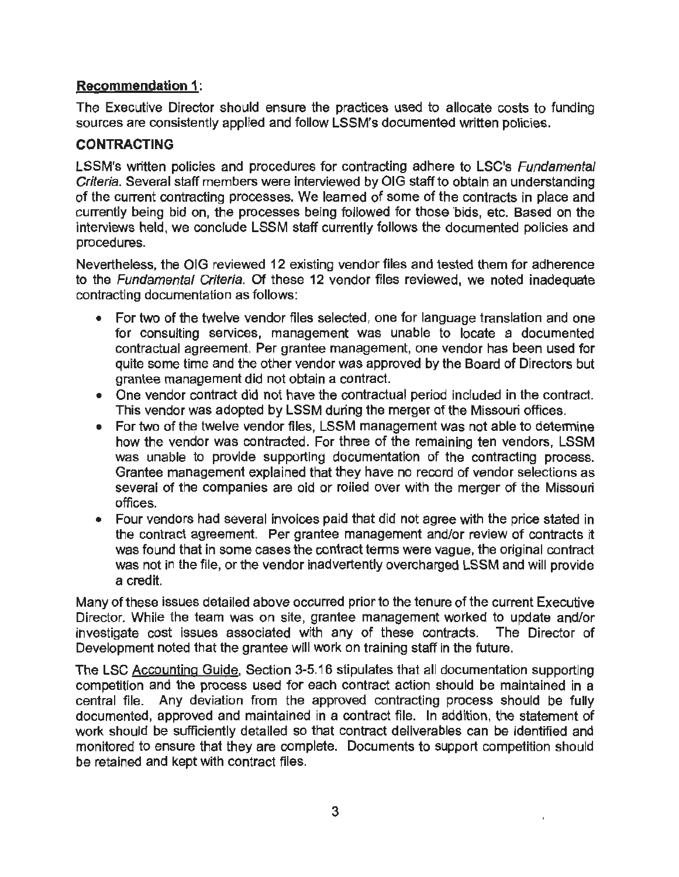#### **Recommendation 1:**

The Executive Director should ensure the practices used to allocate costs to funding sources are consistently applied and follow LSSM's documented written policies.

#### **CONTRACTING**

LSSM's written policies and procedures for contracting adhere to LSC's Fundamental Criteria. Several staff members were interviewed by OIG staff to obtain an understanding of the current contracting processes. We learned of some of the contracts in place and currently being bid on, the processes being foilowed for those 'bids, etc. Based on the interviews held, we conclude LSSM staff currently follows the documented policies and procedures.

Nevertheless, the OIG reviewed 12 existing vendor files and tested them for adherence to the Fundamental Criteria. Of these 12 vendor files reviewed, we noted inadequate contracting documentation as follows:

- For two of the twelve vendor files selected, one for language translation and one for consulting services, management was unable to locate a documented contractual agreement. Per grantee management, one vendor has been used for quite some time and the other vendor was approved by the Board of Directors but grantee management did not obtain a contract.
- One vendor contract did not have the contractual period included in the contract. This vendor was adopted by LSSM during the merger of the Missouri offices.
- For two of the twelve vendor files, LSSM management was not able to determine how the vendor was contracted. For three of the remaining ten vendors, LSSM was unable to provide supporting documentation of the contracting process. Grantee management explained that they have no record of vendor selections as several of the companies are old or roiled over with the merger of the Missouri offices.
- Four vendors had several invoices paid that did not agree with the price stated in the contract agreement. Per grantee management and/or review of contracts it was found that in some cases the contract terms were vague, the original contract was not in the file, or the vendor inadvertently overcharged LSSM and will provide a credit.

Many of these issues detailed above occurred prior to the tenure of the current Executive Director. While the team was on site, grantee management worked to update and/or investigate cost issues associated with any of these contracts. The Director of Development noted that the grantee will work on training staff in the future.

The LSC Accounting Guide, Section 3-5.16 stipulates that all documentation supporting competition and the process used for each contract action should be maintained in a central file. Any deviation from the approved contracting process should be fully documented, approved and maintained in a contract file. In addition, the statement of work should be sufficiently detailed so that contract deliverables can be identified and monitored to ensure that they are complete. Documents to support competition should be retained and kept with contract files.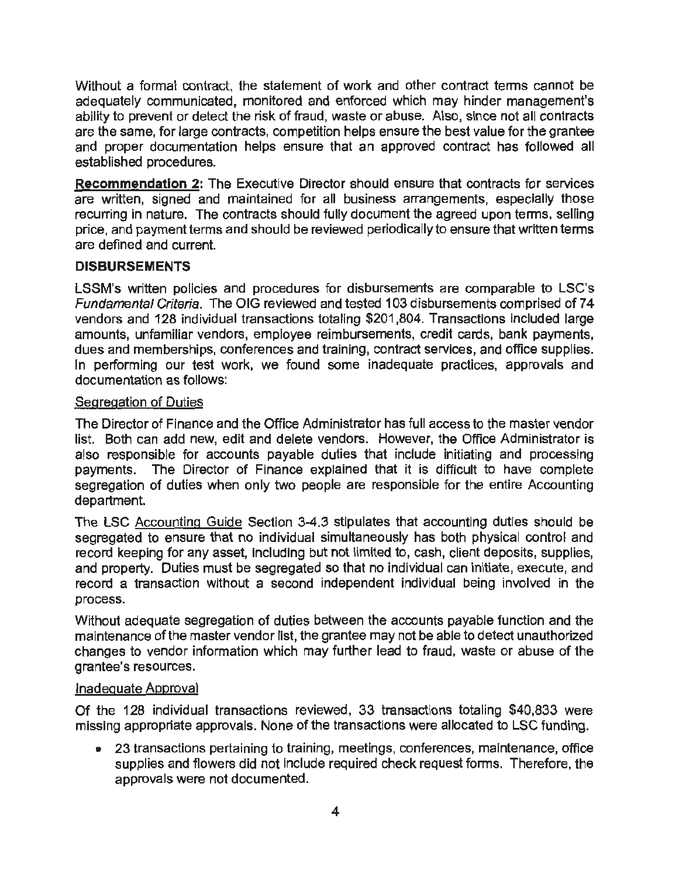Without a formal contract, the statement of work and other contract terms cannot be adequately communicated, monitored and enforced which may hinder management's ability to prevent or detect the risk of fraud, waste or abuse. Also, since not all contracts are the same, for large contracts, competition helps ensure the best value for the grantee and proper documentation helps ensure that an approved contract has followed all established procedures.

**Recommendation** 2: The Executive Director should ensure that contracts for services are written, signed and maintained for all business arrangements, especially those recurring in nature. The contracts should fully document the agreed upon terms, selling price, and payment terms and should be reviewed periodically to ensure that written terms are defined and current.

#### **DISBURSEMENTS**

LSSM's written policies and procedures for disbursements are comparable to LSC's Fundamental Criteria. The OIG reviewed and tested 103 disbursements comprised of 74 vendors and 128 individual transactions totaling \$201,804. Transactions included large amounts, unfamiliar vendors, employee reimbursements, credit cards, bank payments, dues and memberships, conferences and training, contract services, and office supplies. In performing our test work, we found some inadequate practices, approvals and documentation as follows:

#### Segregation of Duties

The Director of Finance and the Office Administrator has full access to the master vendor list. Both can add new, edit and delete vendors. However, the Office Administrator is also responsible for accounts payable duties that include initiating and processing payments. The Director of Finance explained that it is difficult to have complete segregation of duties when only two people are responsible for the entire Accounting department.

The LSC Accounting Guide Section 3-4.3 stipulates that accounting duties should be segregated to ensure that no individual simultaneously has both physical control and record keeping for any asset, including but not limited to, cash, client deposits, supplies, and property. Duties must be segregated so that no individual can initiate, execute, and record a transaction without a second independent individual being involved in the process.

Without adequate segregation of duties between the accounts payable function and the maintenance of the master vendor list, the grantee may not be able to detect unauthorized changes to vendor information which may further lead to fraud, waste or abuse of the grantee's resources.

#### Inadequate Approval

Of the 128 individual transactions reviewed, 33 transactions totaling \$40,833 were missing appropriate approvals. None of the transactions were allocated to LSC funding.

• 23 transactions pertaining to training, meetings, conferences, maintenance, office supplies and flowers did not include required check request forms. Therefore, the approvals were not documented.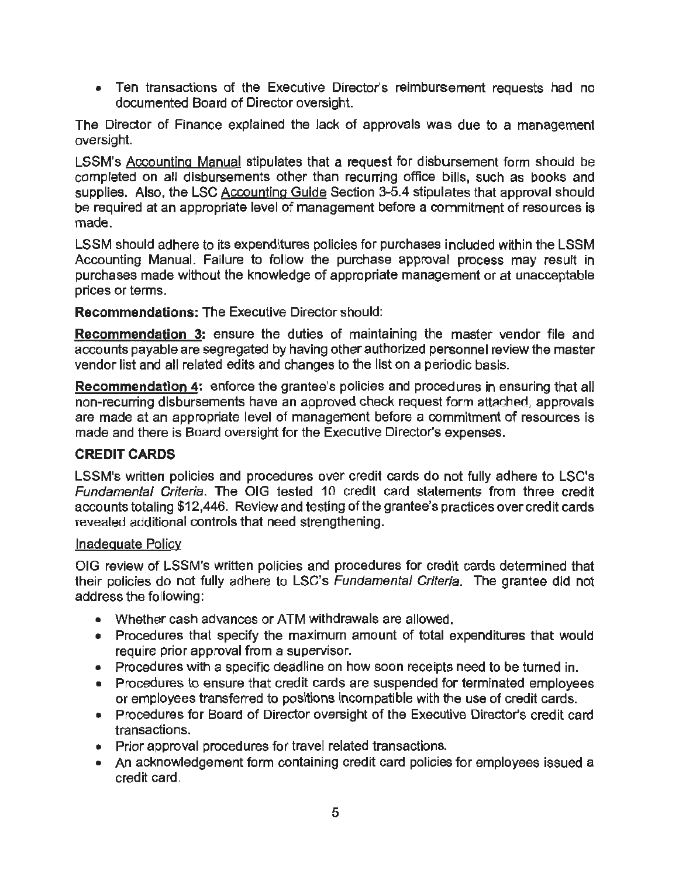• Ten transactions of the Executive Director's reimbursement requests had no documented Board of Director oversight.

The Director of Finance explained the Jack of approvals was due to a management oversight.

LSSM's Accounting Manual stipulates that a request for disbursement form should be completed on all disbursements other than recurring office bills, such as books and supplies. Also, the LSC Accounting Guide Section 3-5.4 stipulates that approval should be required at an appropriate level of management before a commitment of resources is made.

LSSM should adhere to its expenditures policies for purchases included within the LSSM Accounting Manual. Failure to follow the purchase approval process may result in purchases made without the knowledge of appropriate management or at unacceptable prices or terms.

**Recommendations:** The Executive Director should:

**Recommendation** 3: ensure the duties of maintaining the master vendor file and accounts payable are segregated by having other authorized personnel review the master vendor list and all related edits and changes to the list on a periodic basis.

**Recommendation 4:** enforce the grantee's policies and procedures in ensuring that all non-recurring disbursements have an approved check request form attached, approvals are made at an appropriate level of management before a commitment of resources is made and there is Board oversight for the Executive Director's expenses.

#### **CREDIT CARDS**

LSSM's written policies and procedures over credit cards do not fully adhere to LSC's Fundamental Criteria. The OIG tested 10 credit card statements from three credit accounts totaling \$12,446. Review and testing ofthe grantee's practices over credit cards revealed additional controls that need strengthening.

#### Inadequate Policy

OIG review of LSSM's written policies and procedures for credit cards determined that their policies do not fully adhere to LSC's Fundamental Criteria. The grantee did not address the following:

- Whether cash advances or ATM withdrawals are allowed.
- Procedures that specify the maximum amount of total expenditures that would require prior approval from a supervisor.
- Procedures with a specific deadline on how soon receipts need to be turned in.
- Procedures to ensure that credit cards are suspended for terminated employees or employees transferred to positions incompatible with the use of credit cards.
- Procedures for Board of Director oversight of the Executive Director's credit card transactions.
- Prior approval procedures for travel related transactions.
- An acknowledgement form containing credit card policies for employees issued a credit card.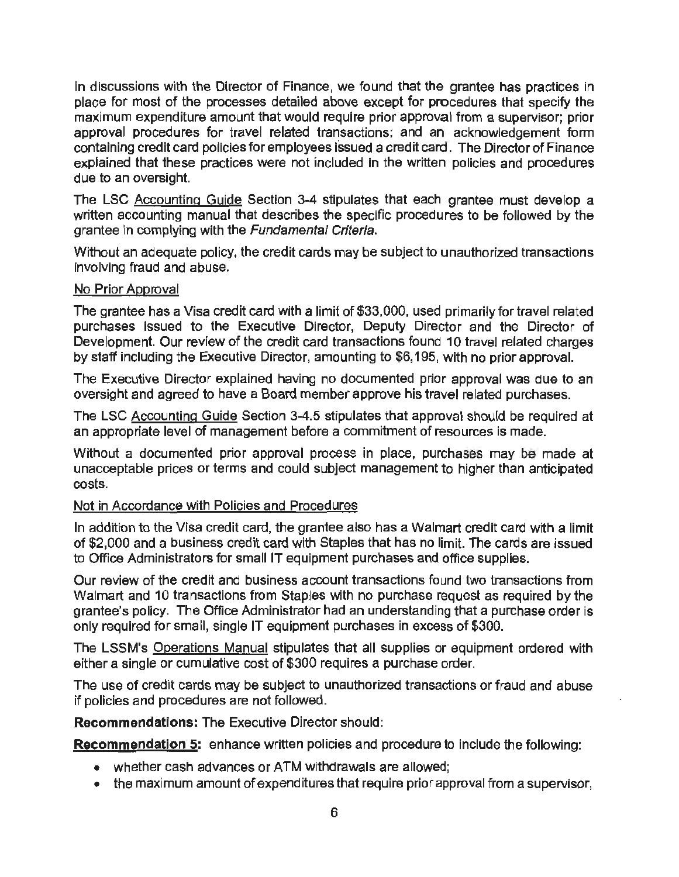In discussions with the Director of Finance, we found that the grantee has practices in place for most of the processes detailed above except for procedures that specify the maximum expenditure amount that would require prior approval from a supervisor; prior approval procedures for travel related transactions; and an acknowledgement form containing credit card policies for employees issued a credit card. The Director of Finance explained that these practices were not included in the written policies and procedures due to an oversight.

The LSC Accounting Guide Section 3-4 stipulates that each grantee must develop a written accounting manual that describes the specific procedures to be followed by the grantee in complying with the Fundamental Criteria.

Without an adequate policy, the credit cards may be subject to unauthorized transactions involving fraud and abuse.

#### No Prior Approval

The grantee has a Visa credit card with a limit of \$33,000, used primarily for travel related purchases issued to the Executive Director, Deputy Director and the Director of Development. Our review of the credit card transactions found 10 travel related charges by staff including the Executive Director, amounting to \$6, 195, with no prior approval.

The Executive Director explained having no documented prior approval was due to an oversight and agreed to have a Board member approve his travel related purchases.

The LSC Accounting Guide Section 3-4.5 stipulates that approval should be required at an appropriate level of management before a commitment of resources is made.

Without a documented prior approval process in place, purchases may be made at unacceptable prices or terms and could subject management to higher than anticipated costs.

#### Not in Accordance with Policies and Procedures

In addition to the Visa credit card, the grantee also has a Walmart credit card with a limit of \$2,000 and a business credit card with Staples that has no limit. The cards are issued to Office Administrators for small IT equipment purchases and office supplies.

Our review of the credit and business account transactions found two transactions from Walmart and 10 transactions from Staples with no purchase request as required by the grantee's policy. The Office Administrator had an understanding that a purchase order is only required for small, single IT equipment purchases in excess of \$300.

The LSSM's Operations Manual stipulates that all supplies or equipment ordered with either a single or cumulative cost of \$300 requires a purchase order.

The use of credit cards may be subject to unauthorized transactions or fraud and abuse if policies and procedures are not followed.

**Recommendations:** The Executive Director should:

**Recommendation 5:** enhance written policies and procedure to include the following:

- whether cash advances or ATM withdrawals are allowed;
- the maximum amount of expenditures that require prior approval from a supervisor,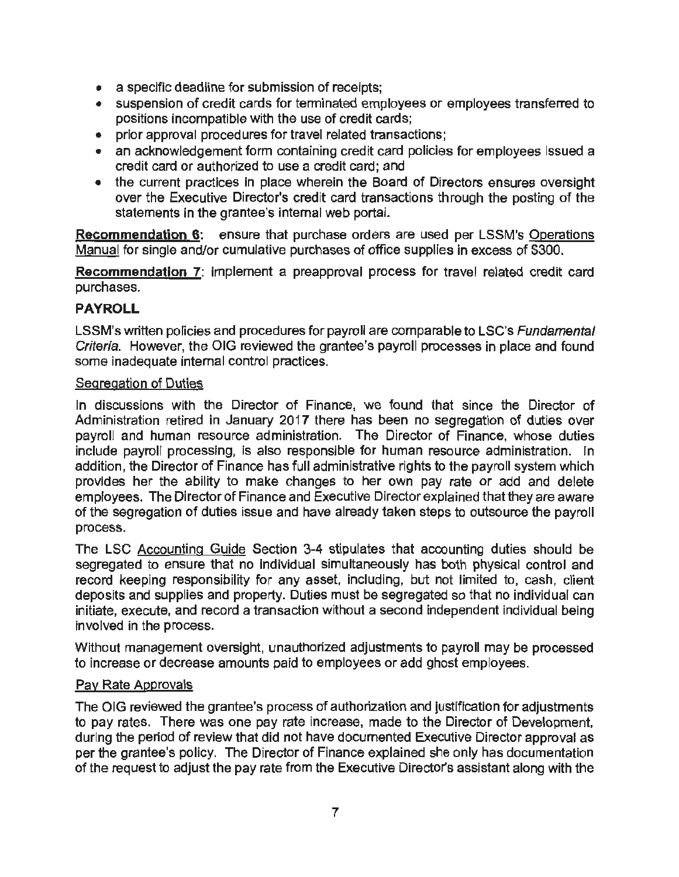- a specific deadline for submission of receipts;
- suspension of credit cards for terminated employees or employees transferred to positions incompatible with the use of credit cards;
- prior approval procedures for travel related transactions;
- an acknowledgement form containing credit card policies for employees issued a credit card or authorized to use a credit card; and
- the current practices in place wherein the Board of Directors ensures oversight over the Executive Director's credit card transactions through the posting of the statements in the grantee's internal web portai.

**Recommendation 6:** ensure that purchase orders are used per LSSM's Operations Manual for single and/or cumulative purchases of office supplies in excess of \$300.

**Recommendation** 7: implement a preapproval process for travel related credit card purchases.

#### **PAYROLL**

LSSM's written policies and procedures for payroll are comparable to LSC's Fundamental Criteria. However, the OIG reviewed the grantee's payroll processes in place and found some inadequate internal control practices.

#### Segregation of Duties

In discussions with the Director of Finance, we found that since the Director of Administration retired in January 2017 there has been no segregation of duties over payroll and human resource administration. The Director of Finance, whose duties include payroll processing, is also responslble for human resource administration. In addition, the Director of Finance has full administrative rights to the payroll system which provides her the ability to make changes to her own pay rate or add and delete employees. The Director of Finance and Executive Director explained that they are aware of the segregation of duties issue and have already taken steps to outsource the payroll process.

The LSC Accounting Guide Section 3-4 stipulates that accounting duties should be segregated to ensure that no individual simultaneously has both physical control and record keeping responsibility for any asset, including, but not limited to, cash, client deposits and supplies and property. Duties must be segregated so that no individual can initiate, execute, and record a transaction without a second independent individual being involved in the process.

Without management oversight, unauthorized adjustments to payroll may be processed to increase or decrease amounts paid to employees or add ghost employees.

#### Pay Rate Approvals

The OIG reviewed the grantee's process of authorization and justification for adjustments to pay rates. There was one pay rate increase, made to the Director of Development, during the period of review that did not have documented Executive Director approval as per the grantee's policy. The Director of Finance explained she only has documentation of the request to adjust the pay rate from the Executive Director's assistant along with the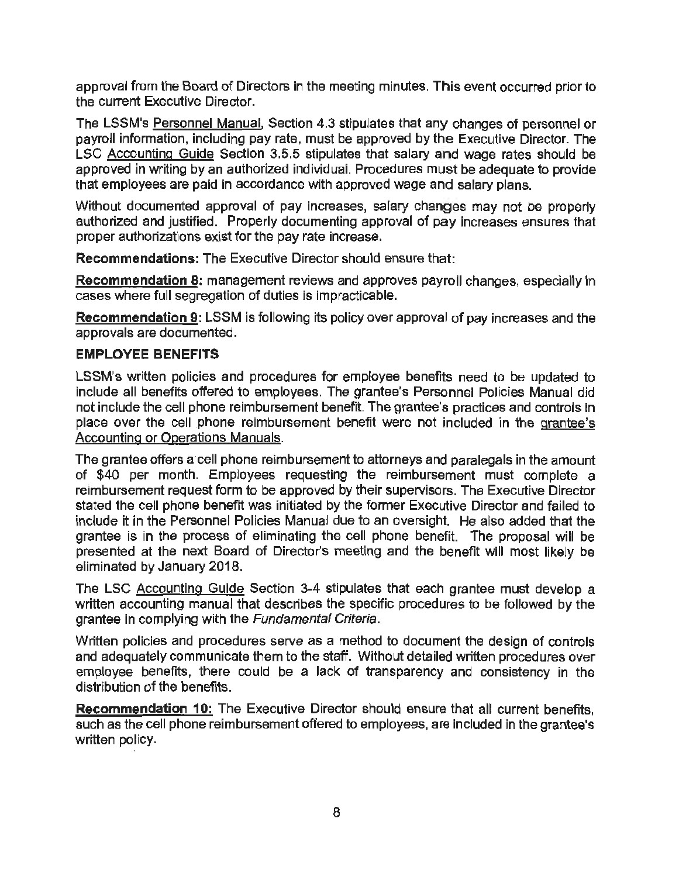approval from the Board of Directors in the meeting minutes. This event occurred prior to the current Executive Director.

The LSSM's Personnel Manual, Section 4.3 stipulates that any changes of personnel or payroll information, including pay rate, must be approved by the Executive Director. The LSC Accounting Guide Section 3.5.5 stipulates that salary and wage rates should be approved in writing by an authorized individual. Procedures must be adequate to provide that employees are paid in accordance with approved wage and salary plans.

Without documented approval of pay increases, salary changes may not be properly authorized and justified. Properly documenting approval of pay increases ensures that proper authorizations exist for the pay rate increase.

**Recommendations:** The Executive Director should ensure that:

**Recommendation 8:** management reviews and approves payroll changes, especially in cases where full segregation of duties is impracticable.

**Recommendation 9:** LSSM is following its policy over approval of pay increases and the approvals are documented.

#### **EMPLOYEE BENEFITS**

LSSM's written policies and procedures for employee benefits need to be updated to include all benefits offered to employees. The grantee's Personnel Policies Manual did not include the cell phone reimbursement benefit. The grantee's practices and controls in place over the cell phone reimbursement benefit were not included in the grantee's Accounting or Operations Manuals.

The grantee offers a cell phone reimbursement to attorneys and paralegals in the amount of \$40 per month. Employees requesting the reimbursement must complete a reimbursement request form to be approved by their supervisors. The Executive Director stated the cell phone benefit was initiated by the former Executive Director and failed to include it in the Personnel Policies Manual due to an oversight. He also added that the grantee is in the process of eliminating the cell phone benefit. The proposal will be presented at the next Board of Director's meeting and the benefit will most likely be eliminated by January 2018.

The LSC Accounting Guide Section 3-4 stipulates that each grantee must develop a written accounting manual that describes the specific procedures to be followed by the grantee in complying with the Fundamental Criteria.

Written policies and procedures serve as a method to document the design of controls and adequately communicate them to the staff. Without detailed written procedures over employee benefits, there could be a lack of transparency and consistency in the distribution of the benefits.

**Recommendation 10:** The Executive Director should ensure that all current benefits, such as the cell phone reimbursement offered to employees, are included in the grantee's written policy.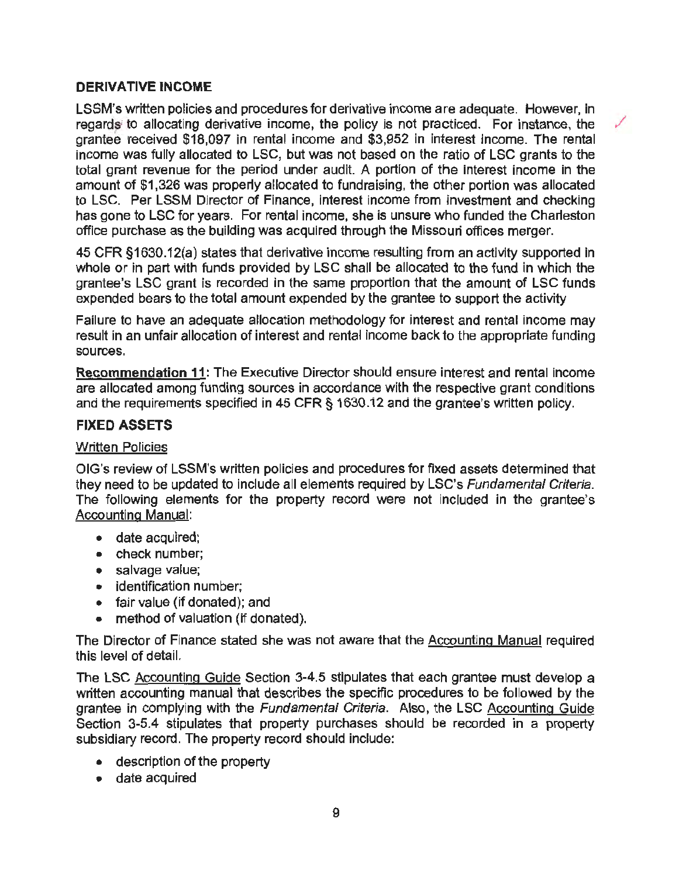#### **DERIVATIVE INCOME**

LSSM's written policies and procedures for derivative income are adequate. However, in regards to allocating derivative income, the policy is not practiced. For instance, the grantee received \$18,097 in rental income and \$3,952 in interest Income. The rental income was fully allocated to LSC, but was not based on the ratio of LSC grants to the total grant revenue for the period under audit. A portion of the interest income in the amount of \$1,326 was properly allocated to fundraising, the other portion was allocated to LSC. Per LSSM Director of Finance, interest income from investment and checking has gone to LSC for years. For rental income, she is unsure who funded the Charleston office purchase as the building was acquired through the Missouri offices merger.

45 CFR §1630.12(a) states that derivative income resulting from an activity supported in whole or in part with funds provided by LSC shall be allocated to the fund in which the grantee's LSC grant is recorded in the same proportion that the amount of LSC funds expended bears to the total amount expended by the grantee to support the activity

Failure to have an adequate allocation methodology for interest and rental income may result in an unfair allocation of interest and rental income back to the appropriate funding sources.

**Recommendation 11:** The Executive Director should ensure interest and rental income are allocated among funding sources in accordance with the respective grant conditions and the requirements specified in 45 CFR § 1630.12 and the grantee's written policy.

#### **FIXED ASSETS**

#### Written Policies

OIG's review of LSSM's written policies and procedures for fixed assets determined that they need to be updated to include all elements required by LSC's Fundamental Criteria. The following elements for the property record were not included in the grantee's Accounting Manual:

- date acquired;
- check number;
- salvage value;
- identification number:
- fair value (if donated); and
- method of valuation (if donated).

The Director of Finance stated she was not aware that the Accounting Manual required this level of detail.

The LSC Accounting Guide Section 3-4.5 stipulates that each grantee must develop a written accounting manual that describes the specific procedures to be followed by the grantee in complying with the Fundamental Criteria. Also, the LSC Accounting Guide Section 3-5.4 stipulates that property purchases should be recorded in a property subsidiary record. The property record should include:

- description of the property
- date acquired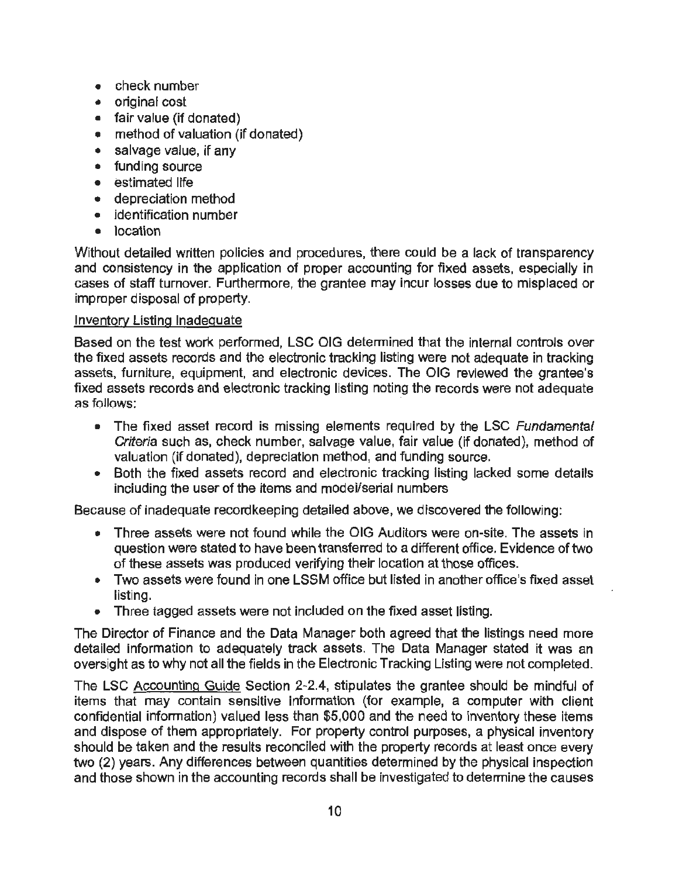- check number
- original cost
- fair value (if donated)
- method of valuation (if donated)
- salvage value, if any
- funding source
- estimated life
- depreciation method
- identification number
- location

Without detailed written policies and procedures, there could be a lack of transparency and consistency in the application of proper accounting for fixed assets, especially in cases of staff turnover. Furthermore, the grantee may incur losses due to misplaced or improper disposal of property.

#### Inventory Listing Inadequate

Based on the test work performed, LSC OIG determined that the internal controls over the fixed assets records and the electronic tracking listing were not adequate in tracking assets, furniture, equipment, and electronic devices. The OIG reviewed the grantee's fixed assets records and electronic tracking listing noting the records were not adequate as follows:

- The fixed asset record is missing elements required by the LSC *Fundamental* Criteria such as, check number, salvage value, fair value (if donated}, method of valuation (if donated}, depreciation method, and funding source.
- Both the fixed assets record and electronic tracking listing lacked some details including the user of the items and modei/serial numbers

Because of inadequate recordkeeping detailed above, we discovered the following:

- Three assets were not found while the OIG Auditors were on-site. The assets in question were stated to have been transferred to a different office. Evidence of two of these assets was produced verifying their location at those offices.
- Two assets were found in one LSSM office but listed in another office's fixed asset listing.
- Three tagged assets were not included on the fixed asset listing.

The Director of Finance and the Data Manager both agreed that the listings need more detailed information to adequately track assets. The Data Manager stated it was an oversight as to why not all the fields in the Electronic Tracking Listing were not completed.

The LSC Accounting Guide Section 2-2.4, stipulates the grantee should be mindful of items that may contain sensitive information (for example, a computer with client confidential information) valued less than \$5,000 and the need to Inventory these items and dispose of them appropriately. For property control purposes, a physical inventory should be taken and the results reconciled with the property records at least once every two (2) years. Any differences between quantities determined by the physical inspection and those shown in the accounting records shall be investigated to determine the causes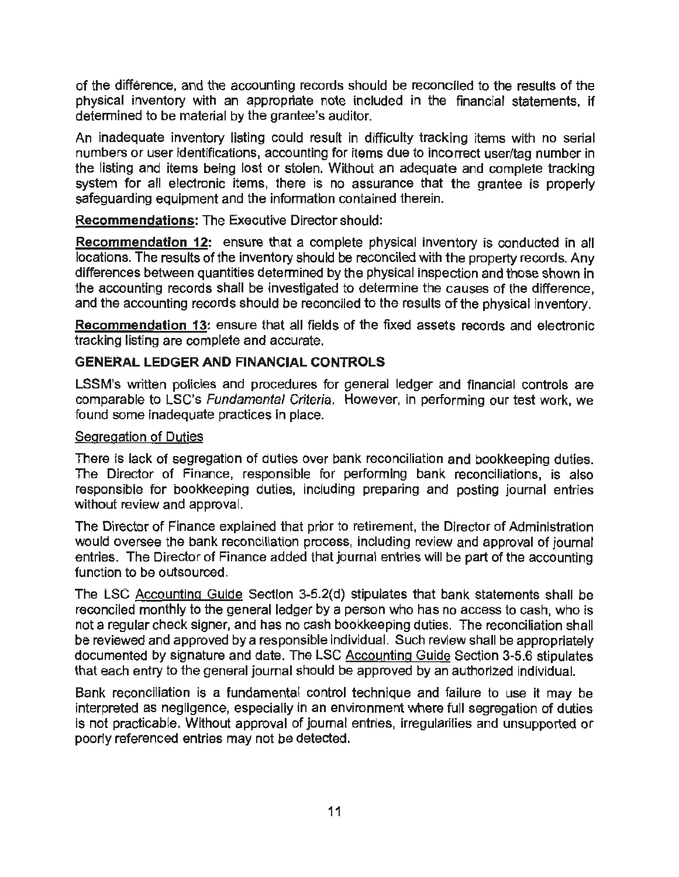of the difference, and the accounting records should be reconciled to the results of the physical inventory with an appropriate note included in the financial statements, if determined to be material by the grantee's auditor.

An inadequate inventory listing could result in difficulty tracking items with no serial numbers or user identifications, accounting for items due to incorrect user/tag number in the listing and items being lost or stolen. Without an adequate and complete tracking system for all electronic items, there is no assurance that the grantee is properly safeguarding equipment and the information contained therein.

**Recommendations:** The Executive Director should:

**Recommendation 12:** ensure that a complete physical inventory is conducted in all locations. The results of the inventory should be reconciled with the property records. Any differences between quantities determined by the physical inspection and those shown in the accounting records shall be investigated to determine the causes of the difference, and the accounting records should be reconciled to the results of the physical inventory.

**Recommendation** 13: ensure that all fields of the fixed assets records and electronic tracking listing are complete and accurate.

#### **GENERAL LEDGER AND FINANCIAL CONTROLS**

LSSM's written policies and procedures for general ledger and financial controls are comparable to LSC's Fundamental Criteria. However, in performing our test work, we found some inadequate practices in place.

#### Segregation of Duties

There is lack of segregation of duties over bank reconciliation and bookkeeping duties. The Director of Finance, responsible for performing bank reconciliations, is also responsible for bookkeeping duties, inciuding preparing and posting journal entries without review and approval.

The Director of Finance explained that prior to retirement, the Director of Administration would oversee the bank reconciliation process, including review and approval of journal entries. The Director of Finance added that journal entries will be part of the accounting function to be outsourced.

The LSC Accounting Guide Section 3-5.2(d) stipulates that bank statements shall be reconciled monthly to the general ledger by a person who has no access to cash, who is not a regular check signer, and has no cash bookkeeping duties. The reconciliation shall be reviewed and approved by a responsible individual. Such review shall be appropriately documented by signature and date. The LSC Accounting Guide Section 3-5.6 stipulates that each entry to the general journal should be approved by an authorized individual.

Bank reconciliation is a fundamental control technique and failure to use it may be interpreted as negligence, especially in an environment where full segregation of duties is not practicable. Without approval of journal entries, irregularities and unsupported or poorly referenced entries may not be detected.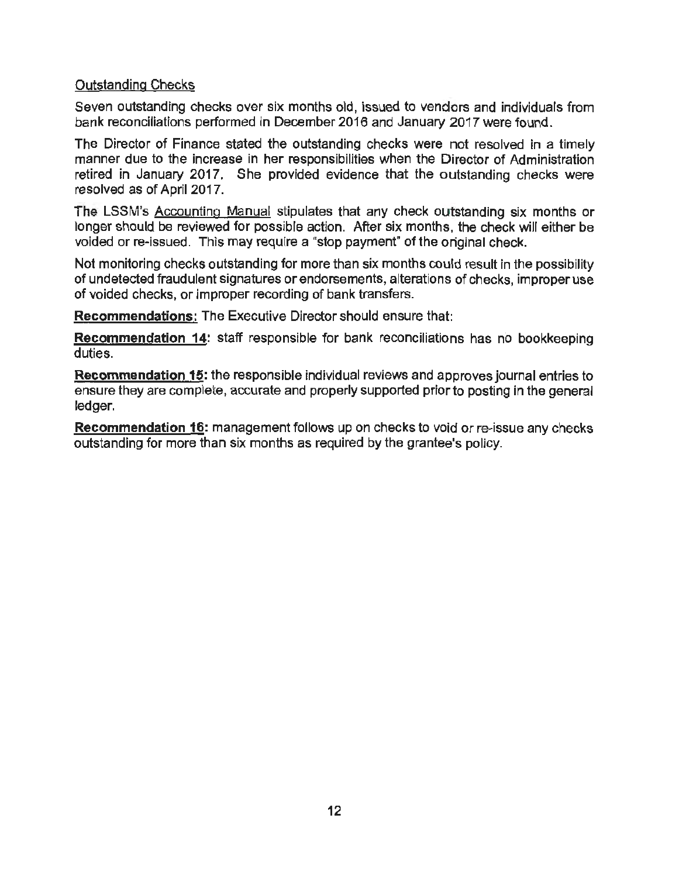#### Outstanding Checks

Seven outstanding checks over six months old, issued to vendors and individuals from bank reconciliations performed in December 2016 and January 2017 were found.

The Director of Finance stated the outstanding checks were not resolved in a timely manner due to the increase in her responsibilities when the Director of Administration retired in January 2017. She provided evidence that the outstanding checks were resolved as of April 2017.

The LSSM's Accounting Manual stipulates that any check outstanding six months or longer should be reviewed for possible action. After six months, the check will either be voided or re-issued. This may require a "stop payment" of the original check.

Not monitoring checks outstanding for more than six months could result in the possibility of undetected fraudulent signatures orendorsements, alterations of checks, improper use of voided checks, or improper recording of bank transfers.

**Recommendations:** The Executive Director should ensure that:

**Recommendation 14:** staff responsible for bank reconciliations has no bookkeeping duties.

**Recommendation 15:** the responsible individual reviews and approves journal entries to ensure they are complete, accurate and properly supported prior to posting in the general ledger.

**Recommendation 16:** management follows up on checks to void or re-issue any checks outstanding for more than six months as required by the grantee's policy.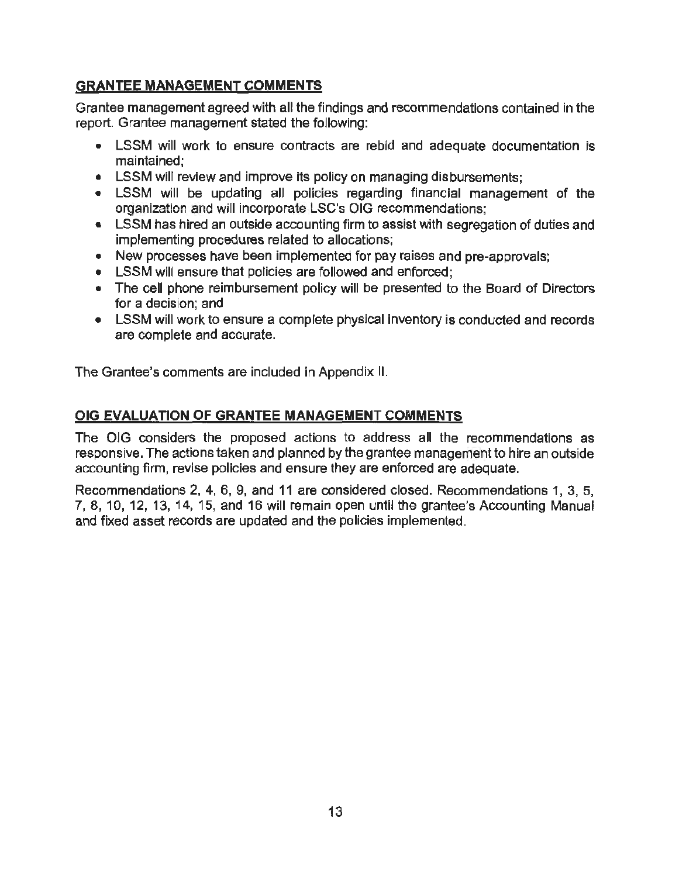### GRANTEE MANAGEMENT COMMENTS

Grantee management agreed with all the findings and recommendations contained in the report. Grantee management stated the following:

- LSSM will work to ensure contracts are rebid and adequate documentation is maintained;
- LSSM will review and improve its policy on managing disbursements;
- LSSM will be updating all policies regarding financial management of the organization and will incorporate LSC's OIG recommendations;
- LSSM has hired an outside accounting firm to assist with segregation of duties and implementing procedures related to allocations;
- New processes have been implemented for pay raises and pre-approvals:
- LSSM will ensure that policies are followed and enforced:
- The cell phone reimbursement policy will be presented to the Board of Directors for a decision; and
- LSSM will work to ensure a complete physical inventory is conducted and records are complete and accurate.

The Grantee's comments are included in Appendix II.

### OIG EVALUATION OF GRANTEE MANAGEMENT COMMENTS

The OlG considers the proposed actions to address all the recommendations as responsive. The actions taken and planned by the grantee management to hire an outside accounting firm, revise policies and ensure they are enforced are adequate.

Recommendations 2, 4, 6, 9, and 11 are considered closed. Recommendations 1, 3, 5, 7, 8, 10, 12, 13, 14, 15, and 16 will remain open until the grantee's Accounting Manual and fixed asset records are updated and the policies implemented.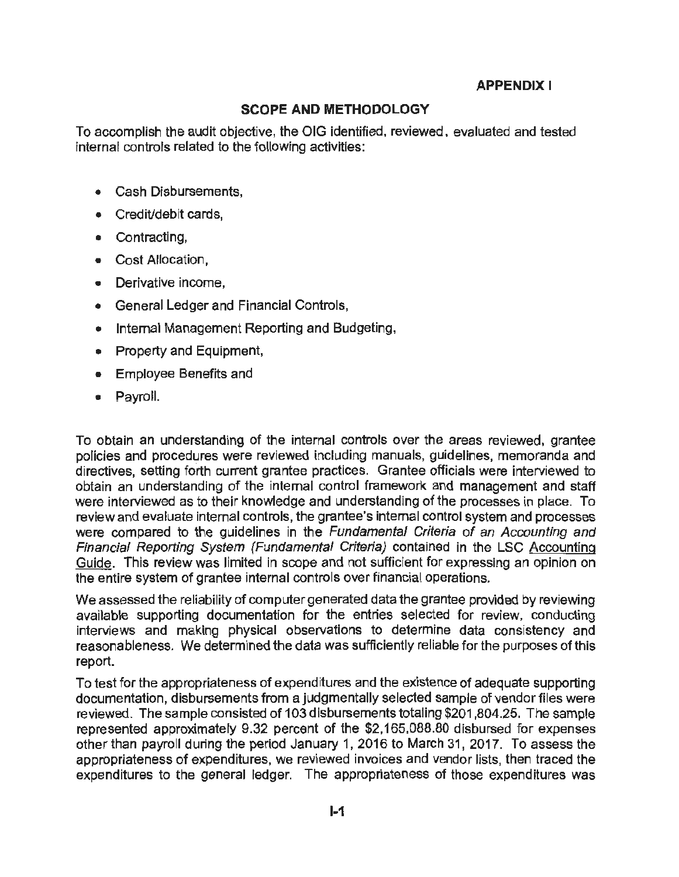#### **APPENDIX I**

#### **SCOPE AND METHODOLOGY**

To accomplish the audit objective, the OIG identified, reviewed, evaluated and tested internal controls related to the following activities:

- Cash Disbursements,
- Credit/debit cards,
- Contracting,
- Cost Allocation,
- Derivative income,
- General Ledger and Financial Controls,
- Internal Management Reporting and Budgeting,
- Property and Equipment,
- Employee Benefits and
- Payroll.

To obtain an understanding of the internal controls over the areas reviewed, grantee policies and procedures were reviewed including manuals, guidelines, memoranda and directives, setting forth current grantee practices. Grantee officials were interviewed to obtain an understanding of the internal control framework and management and staff were interviewed as to their knowledge and understanding of the processes in place. To review and evaluate internal controls, the grantee's internal control system and processes were compared to the guidelines in the Fundamental Criteria of an Accounting and Financial Reporting System (Fundamental Criteria) contained in the LSC Accounting Guide. This review was limited in scope and not sufficient for expressing an opinion on the entire system of grantee internal controls over financial operations.

We assessed the reliability of computer generated data the grantee provided by reviewing available supporting documentation for the entries selected for review, conducting interviews and making physical observations to determine data consistency and reasonableness. We determined the data was sufficiently reliable for the purposes of this report.

To test for the appropriateness of expenditures and the existence of adequate supporting documentation, disbursements from a judgmentally selected sample of vendor files were reviewed. The sample consisted of 103 disbursements totaling \$201 ,804.25. The sample represented approximately 9.32 percent of the \$2,165,088.80 disbursed for expenses other than payroll during the period January 1, 2016 to March 31, 2017. To assess the appropriateness of expenditures, we reviewed invoices and vendor lists, then traced the expenditures to the general ledger. The appropriateness of those expenditures was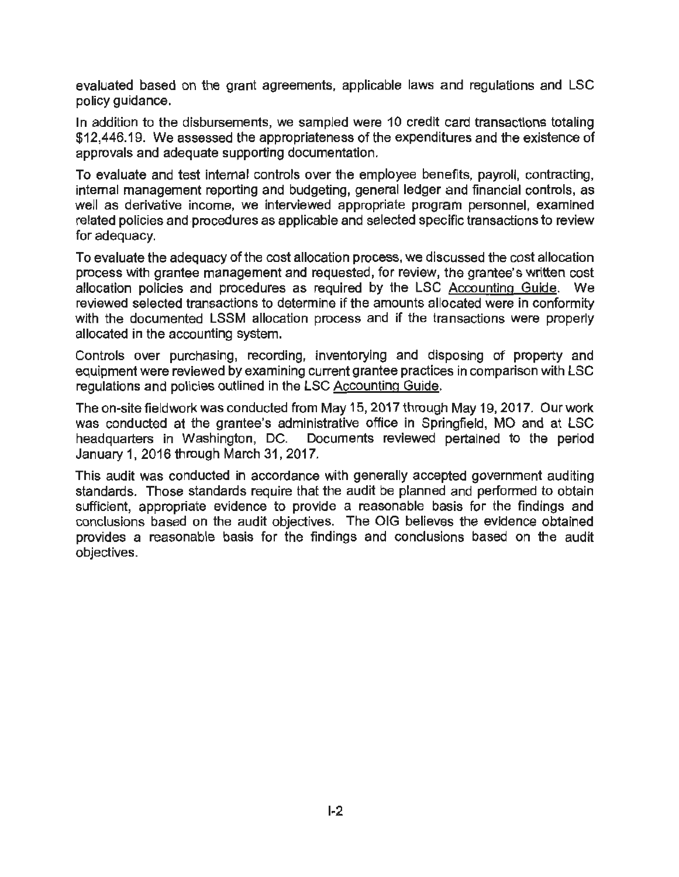evaluated based on the grant agreements, applicable laws and regulations and LSC policy guidance.

In addition to the disbursements, we sampled were 10 credit card transactions totaling \$12,446.19. We assessed the appropriateness of the expenditures and the existence of approvals and adequate supporting documentation.

To evaluate and test internal controls over the employee benefits, payroll, contracting, internal management reporting and budgeting, general ledger and financial controls, as well as derivative income, we interviewed appropriate program personnel, examined related policies and procedures as applicable and selected specific transactions to review for adequacy.

To evaluate the adequacy of the cost allocation process, we discussed the cost allocation process with grantee management and requested, for review, the grantee's written cost allocation policies and procedures as required by the LSC Accounting Guide. We reviewed selected transactions to determine if the amounts allocated were in conformity with the documented LSSM allocation process and if the transactions were properly allocated in the accounting system.

Controls over purchasing, recording, inventorying and disposing of property and equipment were reviewed by examining current grantee practices in comparison with LSC regulations and policies outlined in the LSC Accounting Guide.

The on-site fieldwork was conducted from May 15, 2017 through May 19, 2017. Our work was conducted at the grantee's administrative office in Springfield, MO and at LSC headquarters in Washington, DC. Documents reviewed pertained to the period January 1, 2016 through March 31, 2017.

This audit was conducted in accordance with generally accepted government auditing standards. Those standards require that the audit be planned and performed to obtain sufficient, appropriate evidence to provide a reasonable basis for the findings and conclusions based on the audit objectives. The OIG believes the evidence obtained provides a reasonable basis for the findings and conclusions based on the audit objectives.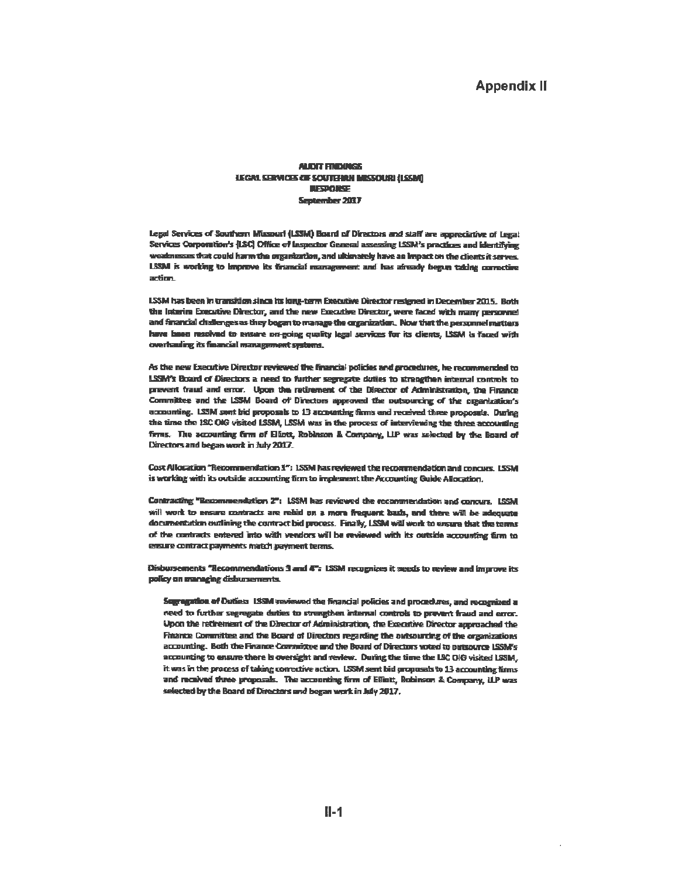#### **Appendix II**

#### **ALDIT FINDUISS LEGAL SERVICES OF SOUTHERN MISSOURI (LSSM) BESPONSE** September 2037

Legal Services of Southern Mixmuri (LSSM) Board of Directors and staff are appreciative of Legal Services Corporation's (LSC) Office of Inspector General assessing LSSM's practices and identifying weaknesses that could harm the organization, and ultimately have an impact on the clients it serves. LSSM is working to improve its trancial management and has aircady begun taking corrective action.

LSSM has been in transition since its long-term Executive Director resigned in December 2015. Both the laterim Executive Director, and the new Executive Director, were faced with many personnel and financial challenges as they began to manage the organization. Now that the personnel matters have been resolved to ensure on-going quality legal services for its dients, LSSM is faced with overhauling its financial management systems.

As the new Executive Director reviewed the financial policies and procedures, he recommended to LSSM's Board of Directors a need to further segregate duties to strengthen integral controls to prevent fraud and error. Upon the retirement of the Director of Administration, the Finance Committee and the LSSM Board of Directors approved the outsourcing of the organization's accounting. LSSM sent bid proposals to 13 accounting firms and received three proposals. During the time the 1SC OIG visited LSSM, LSSM was in the process of interviewing the three accounting firms. The accounting firm of Eliott, Robleson & Company, LIP was selected by the Board of Directors and began work in July 2017.

Cost Allocation "Recommendation 1": LSSM has reviewed the recommendation and concurs. LSSM is working with its outside accounting firm to implement the Accounting Guide Allocation.

Contracting "Recommendation 2": LSSM has reviewed the recommendation and concurs. LSSM will work to ensure contracts are relaid on a more frequent bash, and there will be adequate documentation outlining the contract bid process. Finally, LSSM will work to ensure that the terms of the contracts entered into with vendors will be reviewed with its outside accounting furn to ensure contract payments match payment terms.

Disbursements "Recommendations 3 and 4": LSSM recognizes it needs to review and improve its policy on managing dishursements.

Sugregation of Duties 1.88M veviewed the financial policies and procedures, and recognized a need to further segregate duties to strengthen internal controls to prevent fraud and error. Upon the retirement of the Director of Administration, the Executive Director approached the Finance Committee and the Board of Directors regarding the outsourcing of the organizations accounting. Both the Finance Committee and the Board of Directors voted to outsource LSSM's accounting to ensure there is oversight and review. During the time the LSC OIG visited LSSM, it was in the process of taking corrective action. LSSM sent bid proposals to 13 accounting firms and received three proposals. The accounting firm of Effott, Robinson & Company, ILP was selected by the Board of Directors and began work in July 2017.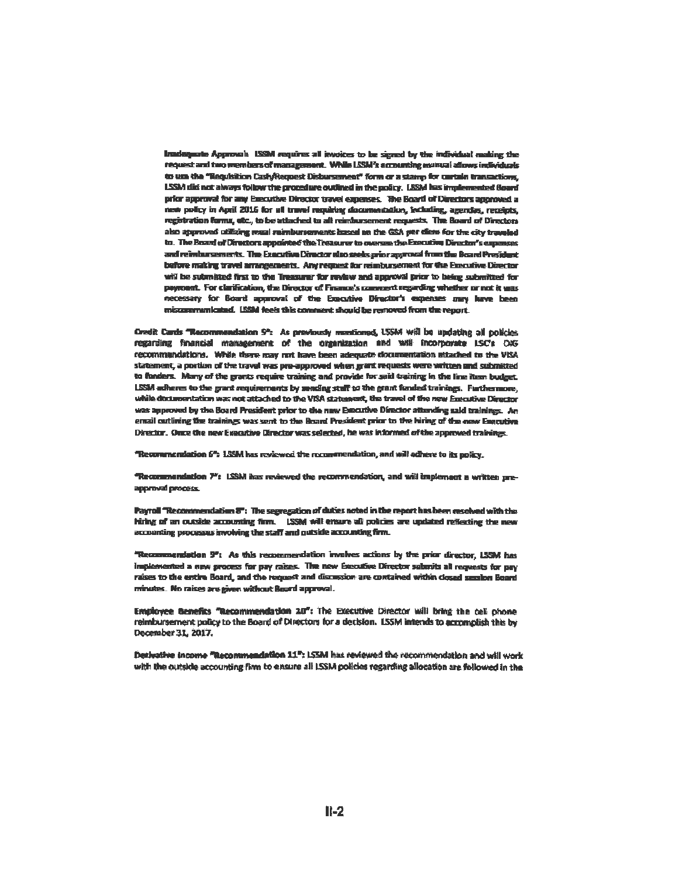Inadequate Approval: ISSM requires all invoices to be signed by the individual making the request and two members of management. While LSM's accounting manual adows individuals to um the "Requisition Cash/Request Disbursement" form or a stamp for certain transactions, LSSM did not always follow the procedure outlined in the policy. LSSM has implemented Goard prior approval for any Executive Director travel expenses. The Board of Directors approved a new policy in April 2016 for all travel repulsive documentation, including, agendas, receipts, registration forms, etc., to be attached to all reimbursement requests. The Board of Directors also approved utilizing mual reimbursements isseed on the GSA per diens for the city traveled to. The Board of Directors appointed the Treasurer to oversee the Executive Director's expenses and reimbursements. The Executive Director also seeks grips approval from the Board President before making travel arrangements. Any request for reimbursement for the Executive Director will be submitted first to the Treasurer for review and approval prior to being submitted for payroant. For clarification, the Director of Finance's comment regarding whether or not it was necessary for Board approval of the Executive Director's expenses may have been miscommunicated. LSSM feels this comment should be removed from the report.

Credit Cards "Recommendation S": As previously mentioned, USSM Will be undating all policies regarding financial management of the organization and will incorporate LSC's OKF recommendations. While there may not have been adequate documentation attached to the VISA statement, a portion of the travel was pre-approved when grant requests were written and submitted to funders. Many of the grants require training and provide for said training in the line item budget. LSSM adheres to the grant requirements by sending staff to the grant funded trainings. Furthermore, while documentation was not attached to the VISA statement, the travel of the new Enecutive Director was approved by the Board President prior to the new Executive Director attending said trainings. An email outlining the trainings was sent to the Board President prior to the hiring of the new Engrutive Director. Once the new Executive Director was selected, he was informed of the approved trainings.

"Recommendation 6": 1.59M has reviewed the recommendation, and will adhere to its policy.

"Recommendation 7": LSSM has reviewed the recommendation, and will implement a written preapproval process.

Payroll "Recommendation  $\overline{\sigma}$ ": The segregation of duties noted in the report has been resolved with the hiring of an outside accounting firm. USSM will ensure all policies are updated reflecting the new accounting processes involving the staff and outside accounting firm.

"Recommendation 9": As this recommendation involves actions by the prior director, LSSM has implemented a new process for pay raises. The new Executive Director submits all requests for pay raises to the entire Board, and the request and discussion are contained within closed secsion Board minukes. No raises are given without Board approval.

Employee Benefits "Recommendation 10": The Executive Director will bring the cell phone reimbursement policy to the Board of Directors for a decision. LSSM intends to accomplish this by December 31, 2017.

Derivative Income "Recommendation 11": LSSM has reviewed the recommendation and will work with the outside accounting firm to ensure all LSSM policies regarding allocation are followed in the